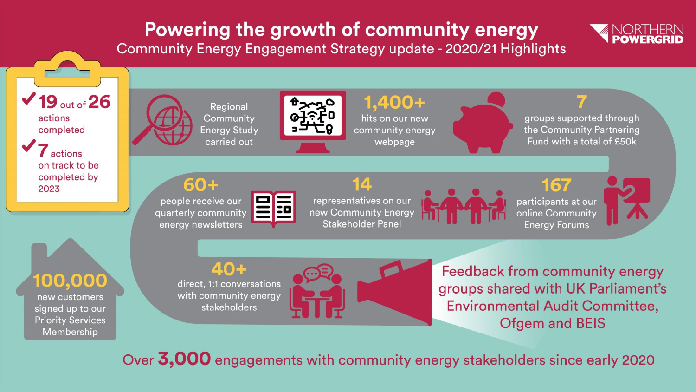## Powering the growth of community energy



Community Energy Engagement Strategy update - 2020/21 Highlights



actions on track to be completed by 2023



new customers signed up to our **Priority Services** Membership







 $1,400+$ hits on our new community energy webpage

groups supported through the Community Partnering Fund with a total of £50k



people receive our quarterly community energy newsletters



representatives on our new Community Energy **Stakeholder Panel** 

167 participants at our online Community **Energy Forums** 

40+ direct, 1:1 conversations with community energy stakeholders



**Feedback from community energy** groups shared with UK Parliament's **Environmental Audit Committee, Ofgem and BEIS** 

Over 3,000 engagements with community energy stakeholders since early 2020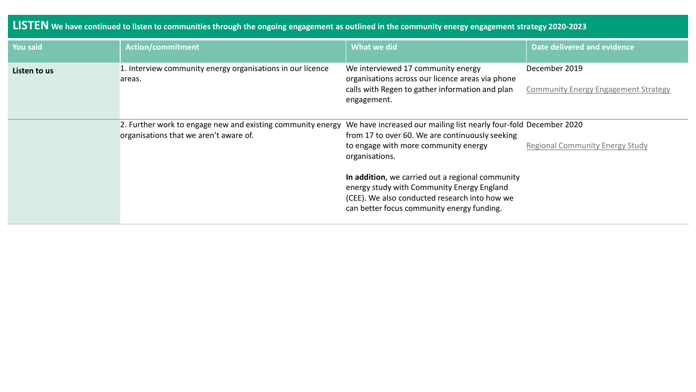**LISTEN We have continued to listen to communities through the ongoing engagement as outlined in the community energy engagement strategy 2020-2023**

| You said     | <b>Action/commitment</b>                                                                                                                                                | What we did                                                                                                                                                                                                                                                                                                | Date delivered and evidence                                  |
|--------------|-------------------------------------------------------------------------------------------------------------------------------------------------------------------------|------------------------------------------------------------------------------------------------------------------------------------------------------------------------------------------------------------------------------------------------------------------------------------------------------------|--------------------------------------------------------------|
| Listen to us | 1. Interview community energy organisations in our licence<br>areas.                                                                                                    | We interviewed 17 community energy<br>organisations across our licence areas via phone<br>calls with Regen to gather information and plan<br>engagement.                                                                                                                                                   | December 2019<br><b>Community Energy Engagement Strategy</b> |
|              | 2. Further work to engage new and existing community energy We have increased our mailing list nearly four-fold December 2020<br>organisations that we aren't aware of. | from 17 to over 60. We are continuously seeking<br>to engage with more community energy<br>organisations.<br>In addition, we carried out a regional community<br>energy study with Community Energy England<br>(CEE). We also conducted research into how we<br>can better focus community energy funding. | <b>Regional Community Energy Study</b>                       |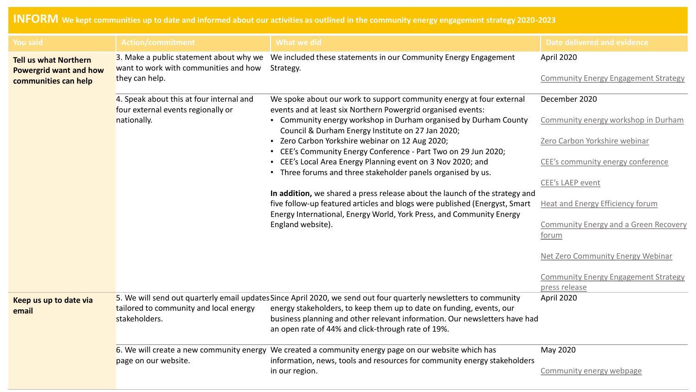## **INFORM We kept communities up to date and informed about our activities as outlined in the community energy engagement strategy 2020-2023**

| <b>You said</b>                                               | <b>Action/commitment</b>                                                         | What we did                                                                                                                                                                               | Date delivered and evidence                                  |
|---------------------------------------------------------------|----------------------------------------------------------------------------------|-------------------------------------------------------------------------------------------------------------------------------------------------------------------------------------------|--------------------------------------------------------------|
| <b>Tell us what Northern</b><br><b>Powergrid want and how</b> | 3. Make a public statement about why we<br>want to work with communities and how | We included these statements in our Community Energy Engagement<br>Strategy.                                                                                                              | April 2020                                                   |
| communities can help                                          | they can help.                                                                   |                                                                                                                                                                                           | <b>Community Energy Engagement Strategy</b>                  |
|                                                               | 4. Speak about this at four internal and<br>four external events regionally or   | We spoke about our work to support community energy at four external<br>events and at least six Northern Powergrid organised events:                                                      | December 2020                                                |
|                                                               | nationally.                                                                      | • Community energy workshop in Durham organised by Durham County<br>Council & Durham Energy Institute on 27 Jan 2020;                                                                     | Community energy workshop in Durham                          |
|                                                               |                                                                                  | • Zero Carbon Yorkshire webinar on 12 Aug 2020;<br>• CEE's Community Energy Conference - Part Two on 29 Jun 2020;                                                                         | Zero Carbon Yorkshire webinar                                |
|                                                               |                                                                                  | • CEE's Local Area Energy Planning event on 3 Nov 2020; and<br>• Three forums and three stakeholder panels organised by us.                                                               | CEE's community energy conference                            |
|                                                               |                                                                                  |                                                                                                                                                                                           | CEE's LAEP event                                             |
|                                                               |                                                                                  | In addition, we shared a press release about the launch of the strategy and<br>five follow-up featured articles and blogs were published (Energyst, Smart                                 | <b>Heat and Energy Efficiency forum</b>                      |
|                                                               |                                                                                  | Energy International, Energy World, York Press, and Community Energy<br>England website).                                                                                                 | Community Energy and a Green Recovery<br>forum               |
|                                                               |                                                                                  |                                                                                                                                                                                           | Net Zero Community Energy Webinar                            |
|                                                               |                                                                                  |                                                                                                                                                                                           | <b>Community Energy Engagement Strategy</b><br>press release |
| Keep us up to date via<br>email                               | tailored to community and local energy                                           | 5. We will send out quarterly email updates Since April 2020, we send out four quarterly newsletters to community<br>energy stakeholders, to keep them up to date on funding, events, our | April 2020                                                   |
|                                                               | stakeholders.                                                                    | business planning and other relevant information. Our newsletters have had<br>an open rate of 44% and click-through rate of 19%.                                                          |                                                              |
|                                                               | page on our website.                                                             | 6. We will create a new community energy We created a community energy page on our website which has<br>information, news, tools and resources for community energy stakeholders          | May 2020                                                     |
|                                                               |                                                                                  | in our region.                                                                                                                                                                            | Community energy webpage                                     |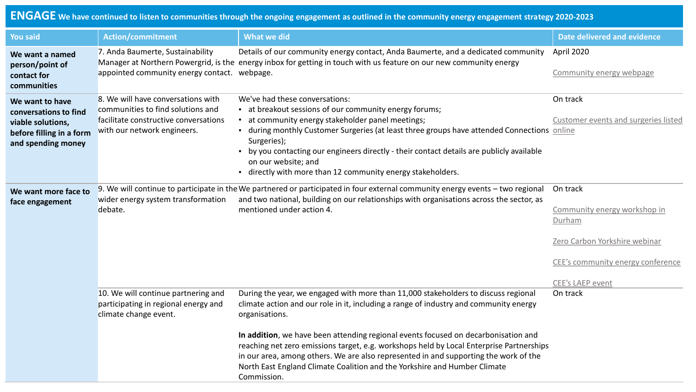**ENGAGE We have continued to listen to communities through the ongoing engagement as outlined in the community energy engagement strategy 2020-2023**

| <b>You said</b>                                                                                                 | <b>Action/commitment</b>                                                                                                                        | <b>What we did</b>                                                                                                                                                                                                                                                                                                                                                                                                                                                                                                                                                  | Date delivered and evidence                                                                                                                  |
|-----------------------------------------------------------------------------------------------------------------|-------------------------------------------------------------------------------------------------------------------------------------------------|---------------------------------------------------------------------------------------------------------------------------------------------------------------------------------------------------------------------------------------------------------------------------------------------------------------------------------------------------------------------------------------------------------------------------------------------------------------------------------------------------------------------------------------------------------------------|----------------------------------------------------------------------------------------------------------------------------------------------|
| We want a named<br>person/point of<br>contact for<br>communities                                                | 7. Anda Baumerte, Sustainability<br>appointed community energy contact. webpage.                                                                | Details of our community energy contact, Anda Baumerte, and a dedicated community<br>Manager at Northern Powergrid, is the energy inbox for getting in touch with us feature on our new community energy                                                                                                                                                                                                                                                                                                                                                            | April 2020<br>Community energy webpage                                                                                                       |
| We want to have<br>conversations to find<br>viable solutions,<br>before filling in a form<br>and spending money | 8. We will have conversations with<br>communities to find solutions and<br>facilitate constructive conversations<br>with our network engineers. | We've had these conversations:<br>• at breakout sessions of our community energy forums;<br>at community energy stakeholder panel meetings;<br>during monthly Customer Surgeries (at least three groups have attended Connections online<br>Surgeries);<br>by you contacting our engineers directly - their contact details are publicly available<br>on our website; and<br>directly with more than 12 community energy stakeholders.<br>$\bullet$                                                                                                                 | On track<br>Customer events and surgeries listed                                                                                             |
| We want more face to<br>wider energy system transformation<br>face engagement<br>debate.                        |                                                                                                                                                 | 9. We will continue to participate in the We partnered or participated in four external community energy events - two regional<br>and two national, building on our relationships with organisations across the sector, as<br>mentioned under action 4.                                                                                                                                                                                                                                                                                                             | On track<br>Community energy workshop in<br>Durham<br>Zero Carbon Yorkshire webinar<br>CEE's community energy conference<br>CEE's LAEP event |
|                                                                                                                 | 10. We will continue partnering and<br>participating in regional energy and<br>climate change event.                                            | During the year, we engaged with more than 11,000 stakeholders to discuss regional<br>climate action and our role in it, including a range of industry and community energy<br>organisations.<br>In addition, we have been attending regional events focused on decarbonisation and<br>reaching net zero emissions target, e.g. workshops held by Local Enterprise Partnerships<br>in our area, among others. We are also represented in and supporting the work of the<br>North East England Climate Coalition and the Yorkshire and Humber Climate<br>Commission. | On track                                                                                                                                     |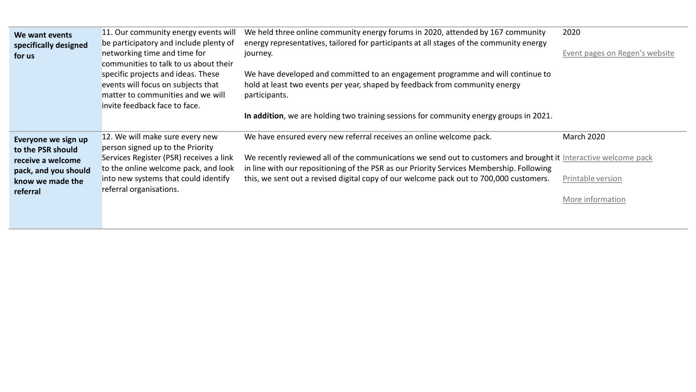| We want events<br>specifically designed<br>for us                                                                     | 11. Our community energy events will<br>be participatory and include plenty of<br>networking time and time for<br>communities to talk to us about their<br>specific projects and ideas. These<br>events will focus on subjects that<br>matter to communities and we will<br>invite feedback face to face. | We held three online community energy forums in 2020, attended by 167 community<br>energy representatives, tailored for participants at all stages of the community energy<br>journey.<br>We have developed and committed to an engagement programme and will continue to<br>hold at least two events per year, shaped by feedback from community energy<br>participants.<br>In addition, we are holding two training sessions for community energy groups in 2021. | 2020<br>Event pages on Regen's website              |
|-----------------------------------------------------------------------------------------------------------------------|-----------------------------------------------------------------------------------------------------------------------------------------------------------------------------------------------------------------------------------------------------------------------------------------------------------|---------------------------------------------------------------------------------------------------------------------------------------------------------------------------------------------------------------------------------------------------------------------------------------------------------------------------------------------------------------------------------------------------------------------------------------------------------------------|-----------------------------------------------------|
| Everyone we sign up<br>to the PSR should<br>receive a welcome<br>pack, and you should<br>know we made the<br>referral | 12. We will make sure every new<br>person signed up to the Priority<br>Services Register (PSR) receives a link<br>to the online welcome pack, and look<br>into new systems that could identify<br>referral organisations.                                                                                 | We have ensured every new referral receives an online welcome pack.<br>We recently reviewed all of the communications we send out to customers and brought it Interactive welcome pack<br>in line with our repositioning of the PSR as our Priority Services Membership. Following<br>this, we sent out a revised digital copy of our welcome pack out to 700,000 customers.                                                                                        | March 2020<br>Printable version<br>More information |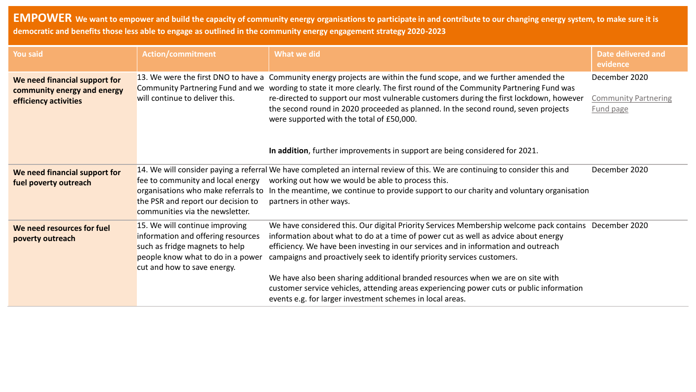**EMPOWER We want to empower and build the capacity of community energy organisations to participate in and contribute to our changing energy system, to make sure it is democratic and benefits those less able to engage as outlined in the community energy engagement strategy 2020-2023**

| <b>You said</b>                                                                       | <b>Action/commitment</b>                                                                                                                                                   | What we did                                                                                                                                                                                                                                                                                                                                                                                                                                                                                                                                                                                              | Date delivered and<br>evidence                            |
|---------------------------------------------------------------------------------------|----------------------------------------------------------------------------------------------------------------------------------------------------------------------------|----------------------------------------------------------------------------------------------------------------------------------------------------------------------------------------------------------------------------------------------------------------------------------------------------------------------------------------------------------------------------------------------------------------------------------------------------------------------------------------------------------------------------------------------------------------------------------------------------------|-----------------------------------------------------------|
| We need financial support for<br>community energy and energy<br>efficiency activities | will continue to deliver this.                                                                                                                                             | 13. We were the first DNO to have a Community energy projects are within the fund scope, and we further amended the<br>Community Partnering Fund and we wording to state it more clearly. The first round of the Community Partnering Fund was<br>re-directed to support our most vulnerable customers during the first lockdown, however<br>the second round in 2020 proceeded as planned. In the second round, seven projects<br>were supported with the total of £50,000.                                                                                                                             | December 2020<br><b>Community Partnering</b><br>Fund page |
|                                                                                       |                                                                                                                                                                            | In addition, further improvements in support are being considered for 2021.                                                                                                                                                                                                                                                                                                                                                                                                                                                                                                                              |                                                           |
| We need financial support for<br>fuel poverty outreach                                | fee to community and local energy<br>the PSR and report our decision to<br>communities via the newsletter.                                                                 | 14. We will consider paying a referral We have completed an internal review of this. We are continuing to consider this and<br>working out how we would be able to process this.<br>organisations who make referrals to In the meantime, we continue to provide support to our charity and voluntary organisation<br>partners in other ways.                                                                                                                                                                                                                                                             | December 2020                                             |
| We need resources for fuel<br>poverty outreach                                        | 15. We will continue improving<br>information and offering resources<br>such as fridge magnets to help<br>people know what to do in a power<br>cut and how to save energy. | We have considered this. Our digital Priority Services Membership welcome pack contains December 2020<br>information about what to do at a time of power cut as well as advice about energy<br>efficiency. We have been investing in our services and in information and outreach<br>campaigns and proactively seek to identify priority services customers.<br>We have also been sharing additional branded resources when we are on site with<br>customer service vehicles, attending areas experiencing power cuts or public information<br>events e.g. for larger investment schemes in local areas. |                                                           |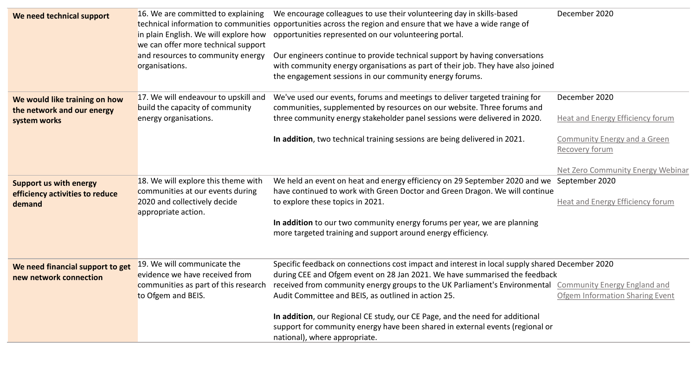| We need technical support                                                   | 16. We are committed to explaining<br>in plain English. We will explore how<br>we can offer more technical support<br>and resources to community energy<br>organisations. | We encourage colleagues to use their volunteering day in skills-based<br>technical information to communities opportunities across the region and ensure that we have a wide range of<br>opportunities represented on our volunteering portal.<br>Our engineers continue to provide technical support by having conversations<br>with community energy organisations as part of their job. They have also joined<br>the engagement sessions in our community energy forums.                                                                      | December 2020                                                                           |
|-----------------------------------------------------------------------------|---------------------------------------------------------------------------------------------------------------------------------------------------------------------------|--------------------------------------------------------------------------------------------------------------------------------------------------------------------------------------------------------------------------------------------------------------------------------------------------------------------------------------------------------------------------------------------------------------------------------------------------------------------------------------------------------------------------------------------------|-----------------------------------------------------------------------------------------|
| We would like training on how<br>the network and our energy<br>system works | 17. We will endeavour to upskill and<br>build the capacity of community<br>energy organisations.                                                                          | We've used our events, forums and meetings to deliver targeted training for<br>communities, supplemented by resources on our website. Three forums and<br>three community energy stakeholder panel sessions were delivered in 2020.                                                                                                                                                                                                                                                                                                              | December 2020<br><b>Heat and Energy Efficiency forum</b>                                |
|                                                                             |                                                                                                                                                                           | In addition, two technical training sessions are being delivered in 2021.                                                                                                                                                                                                                                                                                                                                                                                                                                                                        | Community Energy and a Green<br>Recovery forum                                          |
| <b>Support us with energy</b><br>efficiency activities to reduce<br>demand  | 18. We will explore this theme with<br>communities at our events during<br>2020 and collectively decide<br>appropriate action.                                            | We held an event on heat and energy efficiency on 29 September 2020 and we<br>have continued to work with Green Doctor and Green Dragon. We will continue<br>to explore these topics in 2021.<br>In addition to our two community energy forums per year, we are planning<br>more targeted training and support around energy efficiency.                                                                                                                                                                                                        | Net Zero Community Energy Webinar<br>September 2020<br>Heat and Energy Efficiency forum |
| We need financial support to get<br>new network connection                  | 19. We will communicate the<br>evidence we have received from<br>communities as part of this research<br>to Ofgem and BEIS.                                               | Specific feedback on connections cost impact and interest in local supply shared December 2020<br>during CEE and Ofgem event on 28 Jan 2021. We have summarised the feedback<br>received from community energy groups to the UK Parliament's Environmental Community Energy England and<br>Audit Committee and BEIS, as outlined in action 25.<br>In addition, our Regional CE study, our CE Page, and the need for additional<br>support for community energy have been shared in external events (regional or<br>national), where appropriate. | <b>Ofgem Information Sharing Event</b>                                                  |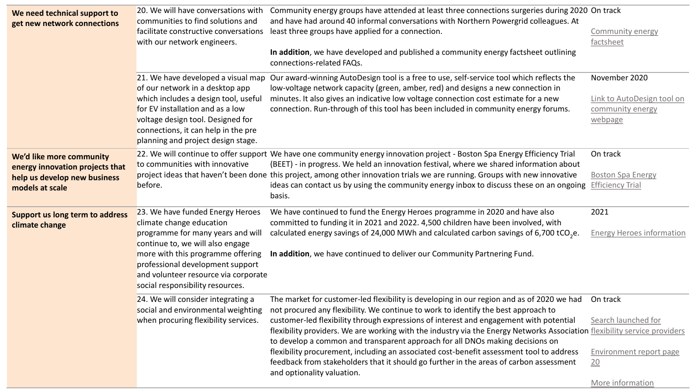| We need technical support to<br>get new network connections                                                    | 20. We will have conversations with<br>communities to find solutions and<br>facilitate constructive conversations<br>with our network engineers.                                                                                                                                           | Community energy groups have attended at least three connections surgeries during 2020 On track<br>and have had around 40 informal conversations with Northern Powergrid colleagues. At<br>least three groups have applied for a connection.<br>In addition, we have developed and published a community energy factsheet outlining<br>connections-related FAQs.                                                                                                                                                                                                                                                                                                                                            | Community energy<br>factsheet                                                        |
|----------------------------------------------------------------------------------------------------------------|--------------------------------------------------------------------------------------------------------------------------------------------------------------------------------------------------------------------------------------------------------------------------------------------|-------------------------------------------------------------------------------------------------------------------------------------------------------------------------------------------------------------------------------------------------------------------------------------------------------------------------------------------------------------------------------------------------------------------------------------------------------------------------------------------------------------------------------------------------------------------------------------------------------------------------------------------------------------------------------------------------------------|--------------------------------------------------------------------------------------|
|                                                                                                                | 21. We have developed a visual map<br>of our network in a desktop app<br>which includes a design tool, useful<br>for EV installation and as a low<br>voltage design tool. Designed for<br>connections, it can help in the pre<br>planning and project design stage.                        | Our award-winning AutoDesign tool is a free to use, self-service tool which reflects the<br>low-voltage network capacity (green, amber, red) and designs a new connection in<br>minutes. It also gives an indicative low voltage connection cost estimate for a new<br>connection. Run-through of this tool has been included in community energy forums.                                                                                                                                                                                                                                                                                                                                                   | November 2020<br>Link to AutoDesign tool on<br>community energy<br>webpage           |
| We'd like more community<br>energy innovation projects that<br>help us develop new business<br>models at scale | to communities with innovative<br>before.                                                                                                                                                                                                                                                  | 22. We will continue to offer support We have one community energy innovation project - Boston Spa Energy Efficiency Trial<br>(BEET) - in progress. We held an innovation festival, where we shared information about<br>project ideas that haven't been done this project, among other innovation trials we are running. Groups with new innovative<br>ideas can contact us by using the community energy inbox to discuss these on an ongoing<br>basis.                                                                                                                                                                                                                                                   | On track<br><b>Boston Spa Energy</b><br><b>Efficiency Trial</b>                      |
| Support us long term to address<br>climate change                                                              | 23. We have funded Energy Heroes<br>climate change education<br>programme for many years and will<br>continue to, we will also engage<br>more with this programme offering<br>professional development support<br>and volunteer resource via corporate<br>social responsibility resources. | We have continued to fund the Energy Heroes programme in 2020 and have also<br>committed to funding it in 2021 and 2022. 4,500 children have been involved, with<br>calculated energy savings of 24,000 MWh and calculated carbon savings of 6,700 tCO <sub>2</sub> e.<br>In addition, we have continued to deliver our Community Partnering Fund.                                                                                                                                                                                                                                                                                                                                                          | 2021<br><b>Energy Heroes information</b>                                             |
|                                                                                                                | 24. We will consider integrating a<br>social and environmental weighting<br>when procuring flexibility services.                                                                                                                                                                           | The market for customer-led flexibility is developing in our region and as of 2020 we had<br>not procured any flexibility. We continue to work to identify the best approach to<br>customer-led flexibility through expressions of interest and engagement with potential<br>flexibility providers. We are working with the industry via the Energy Networks Association flexibility service providers<br>to develop a common and transparent approach for all DNOs making decisions on<br>flexibility procurement, including an associated cost-benefit assessment tool to address<br>feedback from stakeholders that it should go further in the areas of carbon assessment<br>and optionality valuation. | On track<br>Search launched for<br>Environment report page<br>20<br>More information |